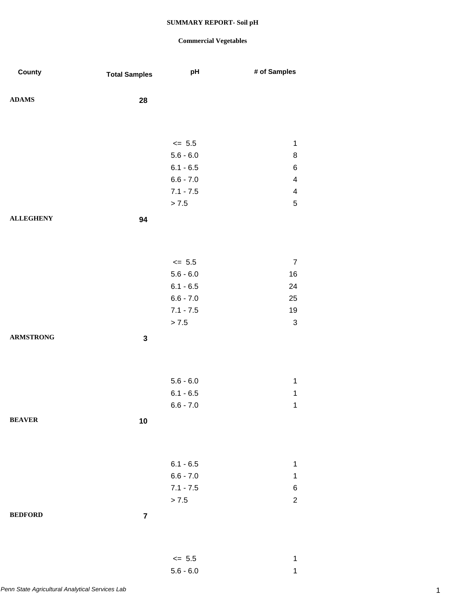### **Commercial Vegetables**

5.6 - 6.0 1

| County           | <b>Total Samples</b>    | pH          | # of Samples              |
|------------------|-------------------------|-------------|---------------------------|
| ${\bf ADAMS}$    | 28                      |             |                           |
|                  |                         |             |                           |
|                  |                         | $\le$ 5.5   | $\mathbf 1$               |
|                  |                         | $5.6 - 6.0$ | $\bf 8$                   |
|                  |                         | $6.1 - 6.5$ | $\,6$                     |
|                  |                         | $6.6 - 7.0$ | 4                         |
|                  |                         | $7.1 - 7.5$ | $\overline{\mathbf{4}}$   |
|                  |                         | > 7.5       | $\sqrt{5}$                |
| <b>ALLEGHENY</b> | 94                      |             |                           |
|                  |                         |             |                           |
|                  |                         | $\leq$ 5.5  | $\overline{7}$            |
|                  |                         | $5.6 - 6.0$ | $16\,$                    |
|                  |                         | $6.1 - 6.5$ | 24                        |
|                  |                         | $6.6 - 7.0$ | 25                        |
|                  |                         | $7.1 - 7.5$ | $19$                      |
|                  |                         | > 7.5       | $\ensuremath{\mathsf{3}}$ |
| <b>ARMSTRONG</b> | $\mathbf{3}$            |             |                           |
|                  |                         |             |                           |
|                  |                         | $5.6 - 6.0$ | $\mathbf 1$               |
|                  |                         | $6.1 - 6.5$ | 1                         |
|                  |                         | $6.6 - 7.0$ | $\mathbf{1}$              |
| <b>BEAVER</b>    | 10                      |             |                           |
|                  |                         |             |                           |
|                  |                         | $6.1 - 6.5$ | 1                         |
|                  |                         | $6.6 - 7.0$ | $\mathbf 1$               |
|                  |                         | $7.1 - 7.5$ | 6                         |
|                  |                         | > 7.5       | $\overline{c}$            |
| <b>BEDFORD</b>   | $\overline{\mathbf{7}}$ |             |                           |
|                  |                         |             |                           |
|                  |                         | $\leq$ 5.5  | 1                         |
|                  |                         |             |                           |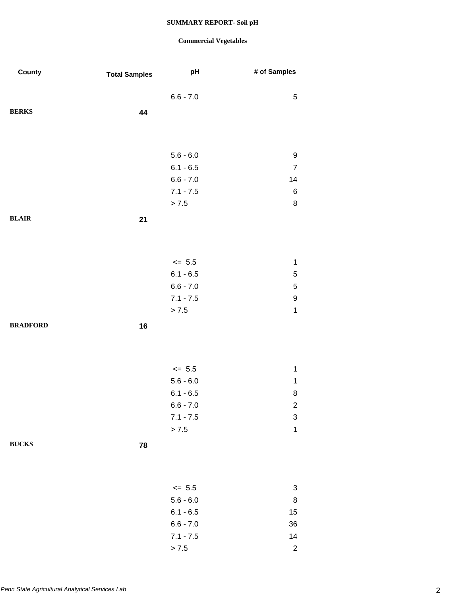| County          | <b>Total Samples</b> | pH          | # of Samples   |
|-----------------|----------------------|-------------|----------------|
|                 |                      | $6.6 - 7.0$ | 5              |
| <b>BERKS</b>    | 44                   |             |                |
|                 |                      |             |                |
|                 |                      | $5.6 - 6.0$ | 9              |
|                 |                      | $6.1 - 6.5$ | $\overline{7}$ |
|                 |                      | $6.6 - 7.0$ | 14             |
|                 |                      | $7.1 - 7.5$ | 6              |
|                 |                      | > 7.5       | 8              |
| <b>BLAIR</b>    | 21                   |             |                |
|                 |                      |             |                |
|                 |                      | $\le$ 5.5   | $\mathbf 1$    |
|                 |                      | $6.1 - 6.5$ | 5              |
|                 |                      | $6.6 - 7.0$ | $\mathbf 5$    |
|                 |                      | $7.1 - 7.5$ | 9              |
|                 |                      | > 7.5       | $\mathbf 1$    |
| <b>BRADFORD</b> | 16                   |             |                |
|                 |                      |             |                |
|                 |                      | $\leq$ 5.5  | $\mathbf 1$    |
|                 |                      | $5.6 - 6.0$ | $\mathbf 1$    |
|                 |                      | $6.1 - 6.5$ | 8              |
|                 |                      | $6.6 - 7.0$ | $\overline{c}$ |
|                 |                      | $7.1 - 7.5$ | 3              |
|                 |                      | $> 7.5$     | $\mathbf{1}$   |
| <b>BUCKS</b>    | 78                   |             |                |
|                 |                      |             |                |
|                 |                      | $\leq$ 5.5  | 3              |
|                 |                      | $5.6 - 6.0$ | $\bf 8$        |
|                 |                      | $6.1 - 6.5$ | 15             |
|                 |                      | $6.6 - 7.0$ | 36             |
|                 |                      | $7.1 - 7.5$ | 14             |
|                 |                      | $> 7.5$     | $\sqrt{2}$     |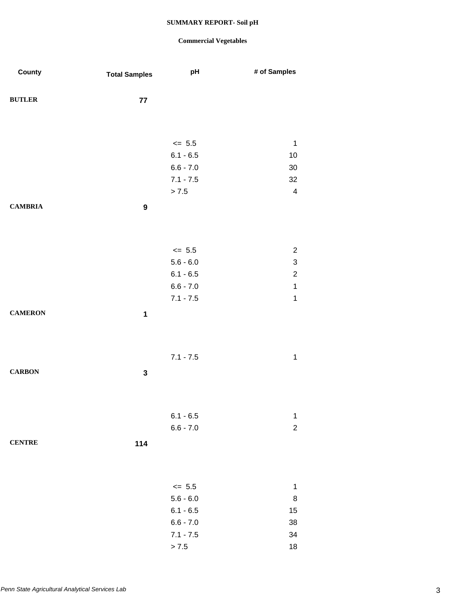| County         | <b>Total Samples</b> | pH                        | # of Samples                                         |
|----------------|----------------------|---------------------------|------------------------------------------------------|
| <b>BUTLER</b>  | ${\bf 77}$           |                           |                                                      |
|                |                      |                           |                                                      |
|                |                      | $\leq$ 5.5                | $\mathbf 1$                                          |
|                |                      | $6.1 - 6.5$               | 10                                                   |
|                |                      | $6.6 - 7.0$               | $30\,$                                               |
|                |                      | $7.1 - 7.5$               | 32                                                   |
|                |                      | > 7.5                     | $\overline{\mathbf{4}}$                              |
| <b>CAMBRIA</b> | $\boldsymbol{9}$     |                           |                                                      |
|                |                      |                           |                                                      |
|                |                      |                           |                                                      |
|                |                      | $\leq$ 5.5<br>$5.6 - 6.0$ | $\overline{\mathbf{c}}$<br>$\ensuremath{\mathsf{3}}$ |
|                |                      | $6.1 - 6.5$               | $\mathbf 2$                                          |
|                |                      | $6.6 - 7.0$               | $\mathbf{1}$                                         |
|                |                      | $7.1 - 7.5$               | $\mathbf{1}$                                         |
| <b>CAMERON</b> | $\mathbf{1}$         |                           |                                                      |
|                |                      |                           |                                                      |
|                |                      |                           |                                                      |
|                |                      | $7.1 - 7.5$               | $\mathbf 1$                                          |
| <b>CARBON</b>  | $\mathbf 3$          |                           |                                                      |
|                |                      |                           |                                                      |
|                |                      |                           |                                                      |
|                |                      | $6.1 - 6.5$               | $\mathbf 1$                                          |
|                |                      | $6.6 - 7.0$               | $\boldsymbol{2}$                                     |
| <b>CENTRE</b>  | 114                  |                           |                                                      |
|                |                      |                           |                                                      |
|                |                      |                           |                                                      |
|                |                      | $\leq$ 5.5                | $\mathbf 1$                                          |
|                |                      | $5.6 - 6.0$               | 8                                                    |
|                |                      | $6.1 - 6.5$               | 15                                                   |
|                |                      | $6.6 - 7.0$               | 38                                                   |
|                |                      | $7.1 - 7.5$               | 34                                                   |
|                |                      | > 7.5                     | 18                                                   |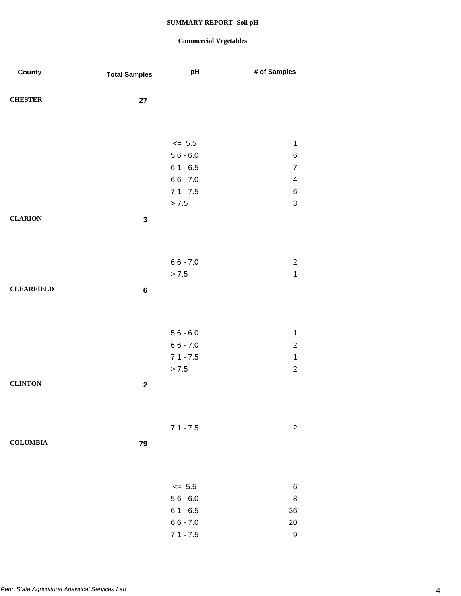| County            | <b>Total Samples</b> | pH          | # of Samples                     |
|-------------------|----------------------|-------------|----------------------------------|
| <b>CHESTER</b>    | 27                   |             |                                  |
|                   |                      |             |                                  |
|                   |                      |             |                                  |
|                   |                      | $\leq$ 5.5  | $\mathbf 1$                      |
|                   |                      | $5.6 - 6.0$ | $\,6$                            |
|                   |                      | $6.1 - 6.5$ | $\overline{7}$                   |
|                   |                      | $6.6 - 7.0$ | $\overline{\mathbf{4}}$          |
|                   |                      | $7.1 - 7.5$ | $\,6$                            |
|                   |                      | $> 7.5$     | $\mathsf 3$                      |
| <b>CLARION</b>    | $\mathbf 3$          |             |                                  |
|                   |                      |             |                                  |
|                   |                      |             |                                  |
|                   |                      |             |                                  |
|                   |                      | $6.6 - 7.0$ | $\overline{c}$<br>$\overline{1}$ |
|                   |                      | > 7.5       |                                  |
| <b>CLEARFIELD</b> | $\bf 6$              |             |                                  |
|                   |                      |             |                                  |
|                   |                      |             |                                  |
|                   |                      | $5.6 - 6.0$ | $\mathbf 1$                      |
|                   |                      | $6.6 - 7.0$ | $\boldsymbol{2}$                 |
|                   |                      | $7.1 - 7.5$ | $\mathbf{1}$                     |
|                   |                      | > 7.5       | $\overline{c}$                   |
|                   |                      |             |                                  |
| <b>CLINTON</b>    | $\boldsymbol{2}$     |             |                                  |
|                   |                      |             |                                  |
|                   |                      |             |                                  |
|                   |                      | $7.1 - 7.5$ | $\boldsymbol{2}$                 |
| <b>COLUMBIA</b>   | 79                   |             |                                  |
|                   |                      |             |                                  |
|                   |                      |             |                                  |
|                   |                      |             |                                  |
|                   |                      | $\leq$ 5.5  | 6                                |
|                   |                      | $5.6 - 6.0$ | 8                                |
|                   |                      | $6.1 - 6.5$ | 36                               |
|                   |                      | $6.6 - 7.0$ | 20                               |
|                   |                      | $7.1 - 7.5$ | $\boldsymbol{9}$                 |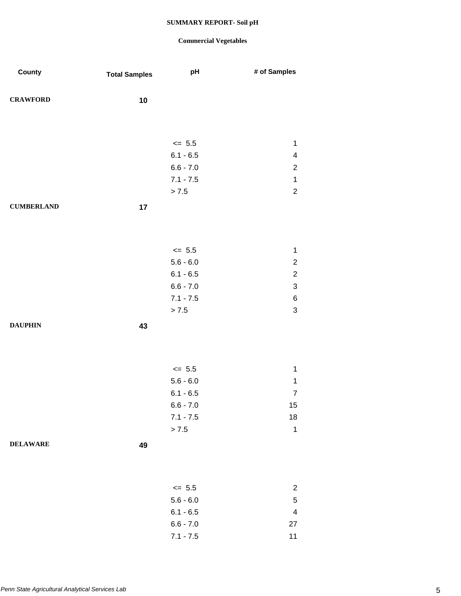| County            | <b>Total Samples</b> | pH                         | # of Samples                           |
|-------------------|----------------------|----------------------------|----------------------------------------|
| <b>CRAWFORD</b>   | 10                   |                            |                                        |
|                   |                      |                            |                                        |
|                   |                      | $\leq$ 5.5                 | $\mathbf 1$                            |
|                   |                      | $6.1 - 6.5$                | $\overline{\mathbf{4}}$                |
|                   |                      | $6.6 - 7.0$                | $\boldsymbol{2}$                       |
|                   |                      | $7.1 - 7.5$                | $\mathbf 1$                            |
|                   |                      | > 7.5                      | $\boldsymbol{2}$                       |
| <b>CUMBERLAND</b> | 17                   |                            |                                        |
|                   |                      |                            |                                        |
|                   |                      |                            |                                        |
|                   |                      | $\leq$ 5.5                 | $\mathbf{1}$                           |
|                   |                      | $5.6 - 6.0$                | $\boldsymbol{2}$                       |
|                   |                      | $6.1 - 6.5$                | $\boldsymbol{2}$                       |
|                   |                      | $6.6 - 7.0$                | $\sqrt{3}$                             |
|                   |                      | $7.1 - 7.5$                | 6                                      |
|                   |                      | > 7.5                      | $\ensuremath{\mathsf{3}}$              |
| <b>DAUPHIN</b>    | 43                   |                            |                                        |
|                   |                      |                            |                                        |
|                   |                      |                            |                                        |
|                   |                      | $\leq$ 5.5                 | $\mathbf 1$                            |
|                   |                      | $5.6 - 6.0$                | $\mathbf 1$                            |
|                   |                      | $6.1 - 6.5$                | $\overline{7}$                         |
|                   |                      | $6.6 - 7.0$                | 15                                     |
|                   |                      | $7.1 - 7.5$                | $18\,$                                 |
|                   |                      | > 7.5                      | $\mathbf 1$                            |
| <b>DELAWARE</b>   | 49                   |                            |                                        |
|                   |                      |                            |                                        |
|                   |                      |                            |                                        |
|                   |                      |                            |                                        |
|                   |                      | $\leq$ 5.5                 | $\overline{c}$                         |
|                   |                      | $5.6 - 6.0$<br>$6.1 - 6.5$ | $\,$ 5 $\,$<br>$\overline{\mathbf{4}}$ |
|                   |                      | $6.6 - 7.0$                | 27                                     |
|                   |                      | $7.1 - 7.5$                | 11                                     |
|                   |                      |                            |                                        |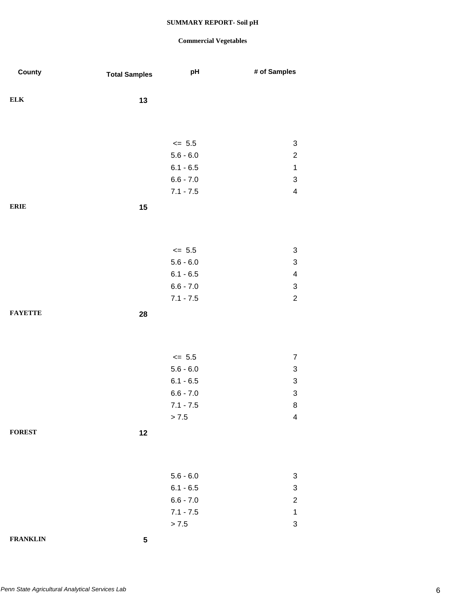| County          | <b>Total Samples</b> | pH          | # of Samples              |
|-----------------|----------------------|-------------|---------------------------|
| <b>ELK</b>      |                      |             |                           |
|                 | 13                   |             |                           |
|                 |                      |             |                           |
|                 |                      | $\le$ 5.5   | $\ensuremath{\mathsf{3}}$ |
|                 |                      | $5.6 - 6.0$ | $\overline{c}$            |
|                 |                      | $6.1 - 6.5$ | $\mathbf 1$               |
|                 |                      | $6.6 - 7.0$ | $\ensuremath{\mathsf{3}}$ |
|                 |                      | $7.1 - 7.5$ | $\overline{\mathbf{4}}$   |
| <b>ERIE</b>     | 15                   |             |                           |
|                 |                      |             |                           |
|                 |                      |             |                           |
|                 |                      | $\le$ 5.5   | $\ensuremath{\mathsf{3}}$ |
|                 |                      | $5.6 - 6.0$ | $\ensuremath{\mathsf{3}}$ |
|                 |                      | $6.1 - 6.5$ | $\overline{\mathbf{4}}$   |
|                 |                      | $6.6 - 7.0$ | $\ensuremath{\mathsf{3}}$ |
|                 |                      | $7.1 - 7.5$ | $\overline{c}$            |
| <b>FAYETTE</b>  | 28                   |             |                           |
|                 |                      |             |                           |
|                 |                      |             |                           |
|                 |                      | $\leq$ 5.5  | $\overline{7}$            |
|                 |                      | $5.6 - 6.0$ | $\ensuremath{\mathsf{3}}$ |
|                 |                      | $6.1 - 6.5$ | $\ensuremath{\mathsf{3}}$ |
|                 |                      | $6.6 - 7.0$ | $\ensuremath{\mathsf{3}}$ |
|                 |                      | $7.1 - 7.5$ | 8                         |
|                 |                      | $> 7.5$     | $\overline{\mathbf{4}}$   |
| <b>FOREST</b>   | 12                   |             |                           |
|                 |                      |             |                           |
|                 |                      |             |                           |
|                 |                      | $5.6 - 6.0$ | 3                         |
|                 |                      | $6.1 - 6.5$ | $\ensuremath{\mathsf{3}}$ |
|                 |                      | $6.6 - 7.0$ | $\overline{c}$            |
|                 |                      | $7.1 - 7.5$ | $\mathbf 1$               |
|                 |                      | $> 7.5$     | $\ensuremath{\mathsf{3}}$ |
| <b>FRANKLIN</b> | ${\bf 5}$            |             |                           |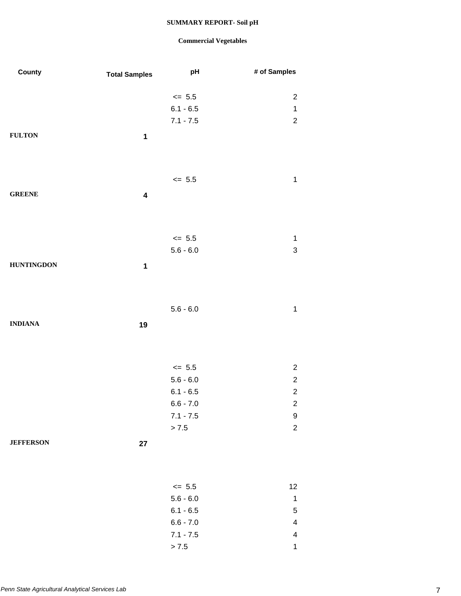| County            | <b>Total Samples</b>    | pH          | # of Samples            |
|-------------------|-------------------------|-------------|-------------------------|
|                   |                         | $\leq$ 5.5  | $\overline{\mathbf{c}}$ |
|                   |                         | $6.1 - 6.5$ | $\mathbf{1}$            |
|                   |                         | $7.1 - 7.5$ | $\overline{c}$          |
| <b>FULTON</b>     | $\mathbf 1$             |             |                         |
|                   |                         |             |                         |
|                   |                         | $\leq$ 5.5  | $\mathbf 1$             |
| <b>GREENE</b>     | $\overline{\mathbf{4}}$ |             |                         |
|                   |                         |             |                         |
|                   |                         | $\le$ 5.5   | $\mathbf 1$             |
|                   |                         | $5.6 - 6.0$ | 3                       |
| <b>HUNTINGDON</b> | $\mathbf 1$             |             |                         |
|                   |                         |             |                         |
|                   |                         | $5.6 - 6.0$ | $\mathbf 1$             |
| <b>INDIANA</b>    | 19                      |             |                         |
|                   |                         |             |                         |
|                   |                         | $\leq$ 5.5  | $\overline{\mathbf{c}}$ |
|                   |                         | $5.6 - 6.0$ | $\overline{\mathbf{c}}$ |
|                   |                         | $6.1 - 6.5$ | $\overline{c}$          |
|                   |                         | $6.6 - 7.0$ | $\overline{\mathbf{c}}$ |
|                   |                         | $7.1 - 7.5$ | 9                       |
|                   |                         | $> 7.5$     | $\overline{c}$          |
| <b>JEFFERSON</b>  | $27\,$                  |             |                         |
|                   |                         |             |                         |
|                   |                         | $\leq$ 5.5  | 12                      |
|                   |                         | $5.6 - 6.0$ | $\mathbf 1$             |
|                   |                         | $6.1 - 6.5$ | 5                       |
|                   |                         | $6.6 - 7.0$ | $\overline{\mathbf{4}}$ |
|                   |                         | $7.1 - 7.5$ | $\overline{\mathbf{4}}$ |
|                   |                         | $> 7.5$     | $\mathbf{1}$            |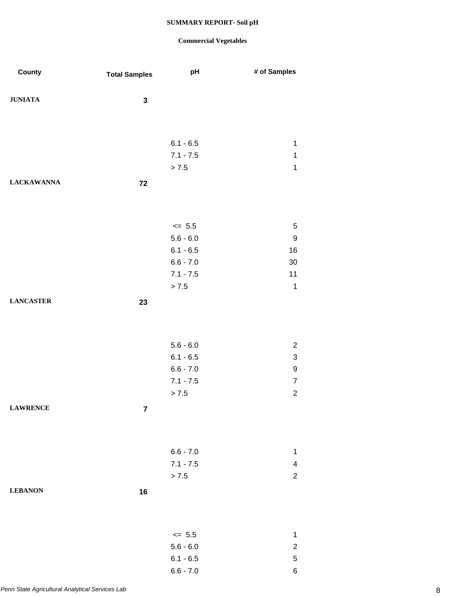| County            | <b>Total Samples</b> | pH                         | # of Samples               |
|-------------------|----------------------|----------------------------|----------------------------|
| <b>JUNIATA</b>    | $\mathbf 3$          |                            |                            |
|                   |                      |                            |                            |
|                   |                      |                            |                            |
|                   |                      | $6.1 - 6.5$                | $\mathbf 1$                |
|                   |                      | $7.1 - 7.5$<br>> 7.5       | $\mathbf 1$<br>$\mathbf 1$ |
|                   |                      |                            |                            |
| <b>LACKAWANNA</b> | 72                   |                            |                            |
|                   |                      |                            |                            |
|                   |                      | $\leq$ 5.5                 | $\,$ 5 $\,$                |
|                   |                      | $5.6 - 6.0$                | $\boldsymbol{9}$           |
|                   |                      | $6.1 - 6.5$                | 16                         |
|                   |                      | $6.6 - 7.0$                | $30\,$                     |
|                   |                      | $7.1 - 7.5$                | 11                         |
|                   |                      | > 7.5                      | $\mathbf 1$                |
| <b>LANCASTER</b>  | 23                   |                            |                            |
|                   |                      |                            |                            |
|                   |                      |                            |                            |
|                   |                      | $5.6 - 6.0$                | $\overline{c}$             |
|                   |                      | $6.1 - 6.5$                | 3                          |
|                   |                      | $6.6 - 7.0$<br>$7.1 - 7.5$ | 9<br>$\boldsymbol{7}$      |
|                   |                      | > 7.5                      | $\overline{c}$             |
| <b>LAWRENCE</b>   | $\overline{7}$       |                            |                            |
|                   |                      |                            |                            |
|                   |                      |                            |                            |
|                   |                      | $6.6 - 7.0$                | 1                          |
|                   |                      | $7.1 - 7.5$                | 4                          |
|                   |                      | > 7.5                      | $\overline{c}$             |
| <b>LEBANON</b>    | 16                   |                            |                            |
|                   |                      |                            |                            |
|                   |                      | $\leq$ 5.5                 | $\mathbf 1$                |
|                   |                      | $5.6 - 6.0$                | $\overline{\mathbf{c}}$    |
|                   |                      | $6.1 - 6.5$                | $\mathbf 5$                |
|                   |                      | $6.6 - 7.0$                | 6                          |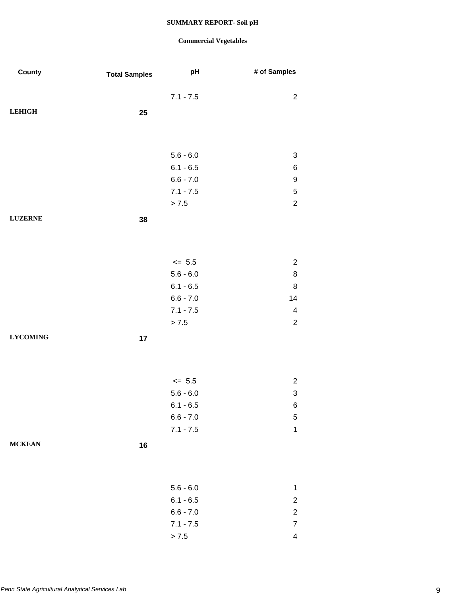| County          | <b>Total Samples</b> | pH          | # of Samples              |
|-----------------|----------------------|-------------|---------------------------|
|                 |                      | $7.1 - 7.5$ | $\overline{c}$            |
| <b>LEHIGH</b>   |                      |             |                           |
|                 | 25                   |             |                           |
|                 |                      |             |                           |
|                 |                      |             |                           |
|                 |                      | $5.6 - 6.0$ | $\sqrt{3}$                |
|                 |                      | $6.1 - 6.5$ | 6                         |
|                 |                      | $6.6 - 7.0$ | 9                         |
|                 |                      | $7.1 - 7.5$ | $\,$ 5 $\,$               |
|                 |                      | > 7.5       | $\sqrt{2}$                |
| <b>LUZERNE</b>  | 38                   |             |                           |
|                 |                      |             |                           |
|                 |                      |             |                           |
|                 |                      | $\leq$ 5.5  | $\overline{c}$            |
|                 |                      | $5.6 - 6.0$ | $\bf 8$                   |
|                 |                      | $6.1 - 6.5$ | 8                         |
|                 |                      | $6.6 - 7.0$ | 14                        |
|                 |                      | $7.1 - 7.5$ | $\overline{\mathbf{4}}$   |
|                 |                      | > 7.5       | $\sqrt{2}$                |
| <b>LYCOMING</b> | 17                   |             |                           |
|                 |                      |             |                           |
|                 |                      |             |                           |
|                 |                      |             |                           |
|                 |                      | $\leq$ 5.5  | $\overline{c}$            |
|                 |                      | $5.6 - 6.0$ | $\ensuremath{\mathsf{3}}$ |
|                 |                      | $6.1 - 6.5$ | 6                         |
|                 |                      | $6.6 - 7.0$ | 5                         |
|                 |                      | $7.1 - 7.5$ | 1                         |
| <b>MCKEAN</b>   | 16                   |             |                           |
|                 |                      |             |                           |
|                 |                      |             |                           |
|                 |                      | $5.6 - 6.0$ | $\mathbf{1}$              |
|                 |                      | $6.1 - 6.5$ | $\overline{c}$            |
|                 |                      | $6.6 - 7.0$ | $\overline{c}$            |
|                 |                      | $7.1 - 7.5$ | $\overline{7}$            |
|                 |                      | > 7.5       | $\overline{4}$            |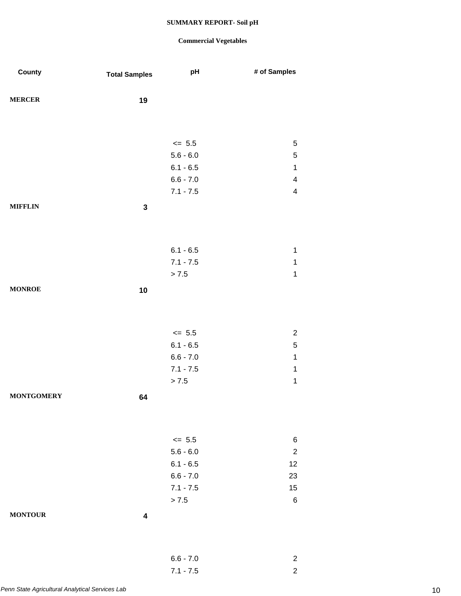| County            | <b>Total Samples</b> | pH                         | # of Samples               |
|-------------------|----------------------|----------------------------|----------------------------|
|                   |                      |                            |                            |
| <b>MERCER</b>     | 19                   |                            |                            |
|                   |                      |                            |                            |
|                   |                      |                            |                            |
|                   |                      | $\leq$ 5.5                 | 5                          |
|                   |                      | $5.6 - 6.0$<br>$6.1 - 6.5$ | $\mathbf 5$<br>$\mathbf 1$ |
|                   |                      | $6.6 - 7.0$                | $\overline{\mathbf{4}}$    |
|                   |                      | $7.1 - 7.5$                | $\overline{\mathbf{4}}$    |
| <b>MIFFLIN</b>    | $\mathbf 3$          |                            |                            |
|                   |                      |                            |                            |
|                   |                      |                            |                            |
|                   |                      |                            | $\mathbf 1$                |
|                   |                      | $6.1 - 6.5$<br>$7.1 - 7.5$ | 1                          |
|                   |                      | > 7.5                      | $\mathbf 1$                |
| <b>MONROE</b>     | 10                   |                            |                            |
|                   |                      |                            |                            |
|                   |                      |                            |                            |
|                   |                      |                            |                            |
|                   |                      | $\leq$ 5.5                 | $\overline{2}$             |
|                   |                      | $6.1 - 6.5$<br>$6.6 - 7.0$ | $\,$ 5 $\,$<br>$\mathbf 1$ |
|                   |                      | $7.1 - 7.5$                | 1                          |
|                   |                      | $> 7.5$                    | $\mathbf 1$                |
| <b>MONTGOMERY</b> | 64                   |                            |                            |
|                   |                      |                            |                            |
|                   |                      |                            |                            |
|                   |                      | $\leq$ 5.5                 | 6                          |
|                   |                      | $5.6 - 6.0$                | $\overline{2}$             |
|                   |                      | $6.1 - 6.5$                | 12                         |
|                   |                      | $6.6 - 7.0$                | 23                         |
|                   |                      | $7.1 - 7.5$                | 15                         |
|                   |                      | > 7.5                      | $\,6$                      |
| <b>MONTOUR</b>    | 4                    |                            |                            |
|                   |                      |                            |                            |
|                   |                      |                            |                            |
|                   |                      | $6.6 - 7.0$                | $\overline{2}$             |
|                   |                      | $7.1 - 7.5$                | $\mathbf 2$                |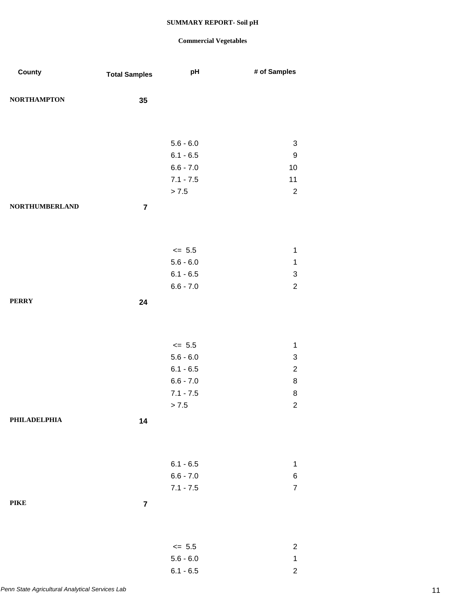| County                | <b>Total Samples</b> | pH          | # of Samples     |
|-----------------------|----------------------|-------------|------------------|
| <b>NORTHAMPTON</b>    | 35                   |             |                  |
|                       |                      |             |                  |
|                       |                      |             |                  |
|                       |                      | $5.6 - 6.0$ | $\sqrt{3}$       |
|                       |                      | $6.1 - 6.5$ | 9                |
|                       |                      | $6.6 - 7.0$ | $10$             |
|                       |                      | $7.1 - 7.5$ | 11               |
|                       |                      | > 7.5       | $\sqrt{2}$       |
| <b>NORTHUMBERLAND</b> | $\overline{7}$       |             |                  |
|                       |                      |             |                  |
|                       |                      |             |                  |
|                       |                      | $\le$ 5.5   | $\mathbf 1$      |
|                       |                      | $5.6 - 6.0$ | $\mathbf{1}$     |
|                       |                      | $6.1 - 6.5$ | 3                |
|                       |                      | $6.6 - 7.0$ | $\overline{2}$   |
| <b>PERRY</b>          | 24                   |             |                  |
|                       |                      |             |                  |
|                       |                      |             |                  |
|                       |                      | $\le$ 5.5   | $\mathbf{1}$     |
|                       |                      | $5.6 - 6.0$ | 3                |
|                       |                      | $6.1 - 6.5$ | $\overline{c}$   |
|                       |                      | $6.6 - 7.0$ | 8                |
|                       |                      | $7.1 - 7.5$ | 8                |
|                       |                      | > 7.5       | $\overline{c}$   |
| PHILADELPHIA          | 14                   |             |                  |
|                       |                      |             |                  |
|                       |                      |             |                  |
|                       |                      | $6.1 - 6.5$ | $\mathbf 1$      |
|                       |                      | $6.6 - 7.0$ | 6                |
|                       |                      | $7.1 - 7.5$ | $\boldsymbol{7}$ |
| <b>PIKE</b>           | $\overline{7}$       |             |                  |
|                       |                      |             |                  |
|                       |                      |             |                  |
|                       |                      | $\le$ 5.5   | $\overline{c}$   |
|                       |                      | $5.6 - 6.0$ | $\mathbf{1}$     |
|                       |                      | $6.1 - 6.5$ | $\overline{c}$   |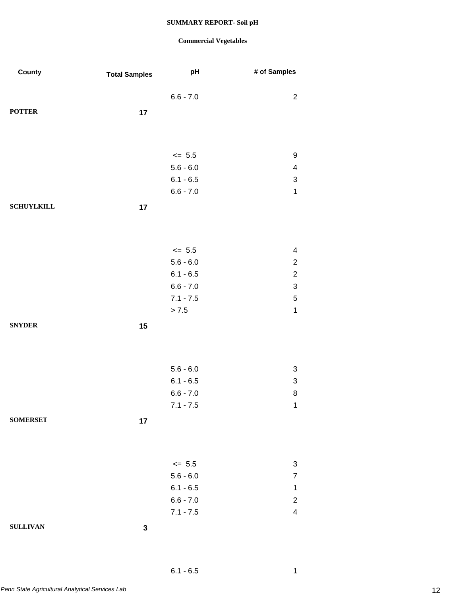| County            | <b>Total Samples</b> | pH          | # of Samples              |
|-------------------|----------------------|-------------|---------------------------|
|                   |                      | $6.6 - 7.0$ | $\overline{c}$            |
|                   |                      |             |                           |
| <b>POTTER</b>     | 17                   |             |                           |
|                   |                      |             |                           |
|                   |                      |             |                           |
|                   |                      | $\leq$ 5.5  | $\boldsymbol{9}$          |
|                   |                      | $5.6 - 6.0$ | $\overline{\mathbf{4}}$   |
|                   |                      | $6.1 - 6.5$ | $\ensuremath{\mathsf{3}}$ |
|                   |                      | $6.6 - 7.0$ | $\mathbf 1$               |
| <b>SCHUYLKILL</b> | 17                   |             |                           |
|                   |                      |             |                           |
|                   |                      |             |                           |
|                   |                      | $\le$ 5.5   | $\overline{\mathbf{4}}$   |
|                   |                      | $5.6 - 6.0$ | $\sqrt{2}$                |
|                   |                      | $6.1 - 6.5$ | $\sqrt{2}$                |
|                   |                      | $6.6 - 7.0$ | $\ensuremath{\mathsf{3}}$ |
|                   |                      | $7.1 - 7.5$ | $\mathbf 5$               |
|                   |                      | > 7.5       | $\mathbf{1}$              |
| <b>SNYDER</b>     | 15                   |             |                           |
|                   |                      |             |                           |
|                   |                      |             |                           |
|                   |                      | $5.6 - 6.0$ | $\sqrt{3}$                |
|                   |                      | $6.1 - 6.5$ | 3                         |
|                   |                      | $6.6 - 7.0$ | 8                         |
|                   |                      | $7.1 - 7.5$ | $\mathbf{1}$              |
| <b>SOMERSET</b>   |                      |             |                           |
|                   | 17                   |             |                           |
|                   |                      |             |                           |
|                   |                      |             |                           |
|                   |                      | $\le$ 5.5   | $\sqrt{3}$                |
|                   |                      | $5.6 - 6.0$ | $\overline{7}$            |
|                   |                      | $6.1 - 6.5$ | $\mathbf 1$               |
|                   |                      | $6.6 - 7.0$ | $\boldsymbol{2}$          |
|                   |                      | $7.1 - 7.5$ | $\overline{\mathbf{4}}$   |
| <b>SULLIVAN</b>   | $\mathbf 3$          |             |                           |
|                   |                      |             |                           |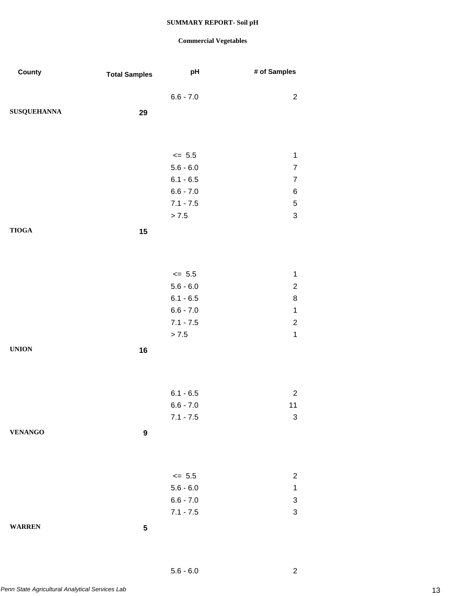### **Commercial Vegetables**

| County             | <b>Total Samples</b> | pH                         | # of Samples                             |
|--------------------|----------------------|----------------------------|------------------------------------------|
|                    |                      |                            |                                          |
|                    |                      | $6.6 - 7.0$                | $\overline{c}$                           |
| <b>SUSQUEHANNA</b> | 29                   |                            |                                          |
|                    |                      |                            |                                          |
|                    |                      |                            |                                          |
|                    |                      | $\leq$ 5.5                 | $\mathbf 1$                              |
|                    |                      | $5.6 - 6.0$                | $\boldsymbol{7}$                         |
|                    |                      | $6.1 - 6.5$                | $\overline{7}$                           |
|                    |                      | $6.6 - 7.0$                | 6                                        |
|                    |                      | $7.1 - 7.5$                | $\,$ 5 $\,$                              |
|                    |                      | > 7.5                      | $\ensuremath{\mathsf{3}}$                |
| <b>TIOGA</b>       | 15                   |                            |                                          |
|                    |                      |                            |                                          |
|                    |                      |                            |                                          |
|                    |                      | $\leq$ 5.5                 | $\mathbf 1$                              |
|                    |                      | $5.6 - 6.0$                | $\boldsymbol{2}$                         |
|                    |                      | $6.1 - 6.5$                | 8                                        |
|                    |                      | $6.6 - 7.0$                | $\mathbf 1$                              |
|                    |                      | $7.1 - 7.5$                | $\overline{c}$                           |
|                    |                      | > 7.5                      | $\mathbf 1$                              |
|                    |                      |                            |                                          |
| <b>UNION</b>       | 16                   |                            |                                          |
|                    |                      |                            |                                          |
|                    |                      |                            |                                          |
|                    |                      | $6.1 - 6.5$                | $\overline{c}$                           |
|                    |                      | $6.6 - 7.0$                | $11$                                     |
|                    |                      | $7.1 - 7.5$                | $\mathsf 3$                              |
| <b>VENANGO</b>     | 9                    |                            |                                          |
|                    |                      |                            |                                          |
|                    |                      |                            |                                          |
|                    |                      | $\leq$ 5.5                 |                                          |
|                    |                      |                            | $\overline{c}$                           |
|                    |                      | $5.6 - 6.0$<br>$6.6 - 7.0$ | $\mathbf 1$                              |
|                    |                      | $7.1 - 7.5$                | $\ensuremath{\mathsf{3}}$<br>$\mathsf 3$ |
|                    |                      |                            |                                          |
| <b>WARREN</b>      | ${\bf 5}$            |                            |                                          |

*Penn State Agricultural Analytical Services Lab* 13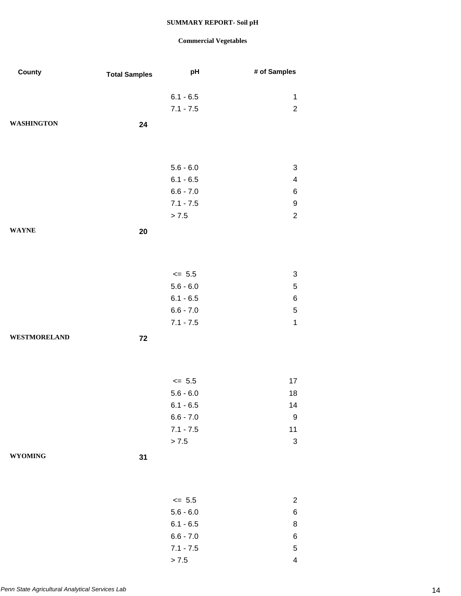### **Commercial Vegetables**

 $> 7.5$  4

| County              | <b>Total Samples</b> | pH          | # of Samples            |
|---------------------|----------------------|-------------|-------------------------|
|                     |                      | $6.1 - 6.5$ | $\mathbf{1}$            |
|                     |                      | $7.1 - 7.5$ | $\overline{c}$          |
|                     |                      |             |                         |
| <b>WASHINGTON</b>   | 24                   |             |                         |
|                     |                      |             |                         |
|                     |                      |             |                         |
|                     |                      | $5.6 - 6.0$ | 3                       |
|                     |                      | $6.1 - 6.5$ | $\overline{\mathbf{4}}$ |
|                     |                      | $6.6 - 7.0$ | 6                       |
|                     |                      | $7.1 - 7.5$ | $\boldsymbol{9}$        |
|                     |                      | > 7.5       | $\overline{2}$          |
| <b>WAYNE</b>        | 20                   |             |                         |
|                     |                      |             |                         |
|                     |                      |             |                         |
|                     |                      | $\le$ 5.5   | 3                       |
|                     |                      | $5.6 - 6.0$ | $\mathbf 5$             |
|                     |                      | $6.1 - 6.5$ | 6                       |
|                     |                      | $6.6 - 7.0$ | $\mathbf 5$             |
|                     |                      | $7.1 - 7.5$ | $\mathbf{1}$            |
| <b>WESTMORELAND</b> | 72                   |             |                         |
|                     |                      |             |                         |
|                     |                      |             |                         |
|                     |                      | $\leq 5.5$  | 17                      |
|                     |                      | $5.6 - 6.0$ | 18                      |
|                     |                      | $6.1 - 6.5$ | 14                      |
|                     |                      | $6.6 - 7.0$ | 9                       |
|                     |                      | $7.1 - 7.5$ | 11                      |
|                     |                      | > 7.5       | $\sqrt{3}$              |
| <b>WYOMING</b>      | 31                   |             |                         |
|                     |                      |             |                         |
|                     |                      |             |                         |
|                     |                      | $\leq$ 5.5  | $\overline{c}$          |
|                     |                      | $5.6 - 6.0$ | 6                       |
|                     |                      | $6.1 - 6.5$ | 8                       |
|                     |                      | $6.6 - 7.0$ | 6                       |
|                     |                      | $7.1 - 7.5$ | 5                       |